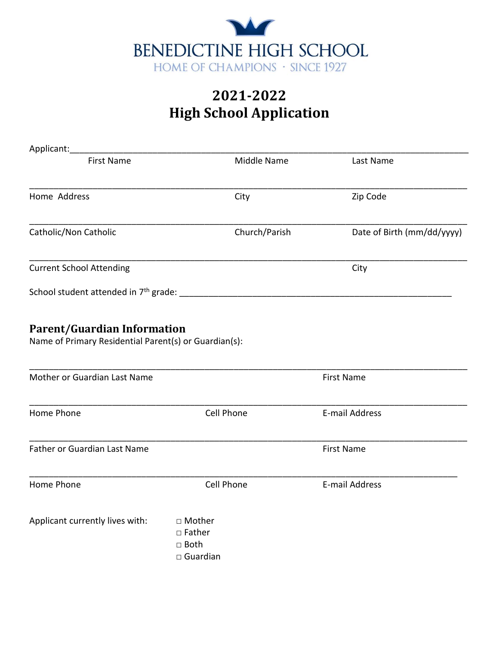

| Applicant:                                                                                  |                                                              |                            |
|---------------------------------------------------------------------------------------------|--------------------------------------------------------------|----------------------------|
| <b>First Name</b>                                                                           | Middle Name                                                  | Last Name                  |
| Home Address                                                                                | City                                                         | Zip Code                   |
| Catholic/Non Catholic                                                                       | Church/Parish                                                | Date of Birth (mm/dd/yyyy) |
| <b>Current School Attending</b>                                                             |                                                              | City                       |
|                                                                                             |                                                              |                            |
| <b>Parent/Guardian Information</b><br>Name of Primary Residential Parent(s) or Guardian(s): |                                                              |                            |
| Mother or Guardian Last Name                                                                |                                                              | <b>First Name</b>          |
| Home Phone                                                                                  | Cell Phone                                                   | E-mail Address             |
| Father or Guardian Last Name                                                                |                                                              | <b>First Name</b>          |
| Home Phone                                                                                  | Cell Phone                                                   | E-mail Address             |
| Applicant currently lives with:                                                             | □ Mother<br>$\square$ Father<br>□ Both<br>$\square$ Guardian |                            |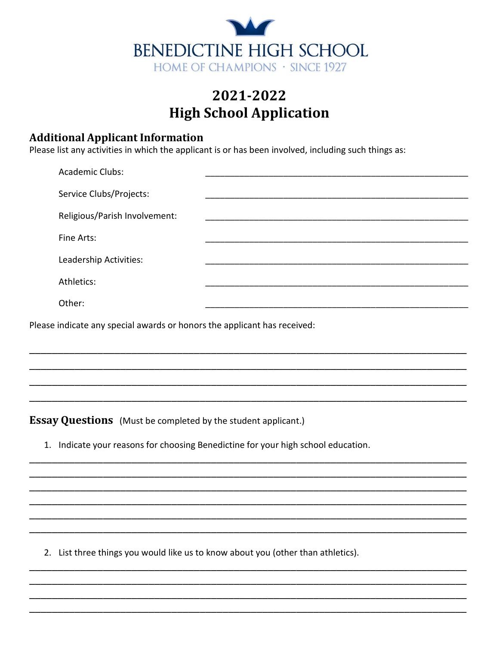

### **Additional Applicant Information**

Please list any activities in which the applicant is or has been involved, including such things as:

| <b>Academic Clubs:</b>        |  |
|-------------------------------|--|
| Service Clubs/Projects:       |  |
| Religious/Parish Involvement: |  |
| Fine Arts:                    |  |
| Leadership Activities:        |  |
| Athletics:                    |  |
| Other:                        |  |
|                               |  |

Please indicate any special awards or honors the applicant has received:

**Essay Questions** (Must be completed by the student applicant.)

1. Indicate your reasons for choosing Benedictine for your high school education.

2. List three things you would like us to know about you (other than athletics).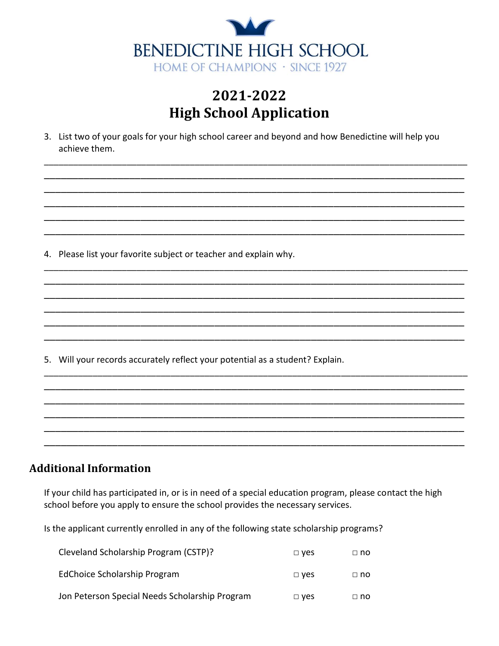

3. List two of your goals for your high school career and beyond and how Benedictine will help you achieve them.

4. Please list your favorite subject or teacher and explain why.

5. Will your records accurately reflect your potential as a student? Explain.

#### **Additional Information**

If your child has participated in, or is in need of a special education program, please contact the high school before you apply to ensure the school provides the necessary services.

Is the applicant currently enrolled in any of the following state scholarship programs?

| Cleveland Scholarship Program (CSTP)?          | $\Box$ ves | □ no      |
|------------------------------------------------|------------|-----------|
| EdChoice Scholarship Program                   | $\Box$ ves | $\Box$ no |
| Jon Peterson Special Needs Scholarship Program | $\Box$ ves | □ no      |